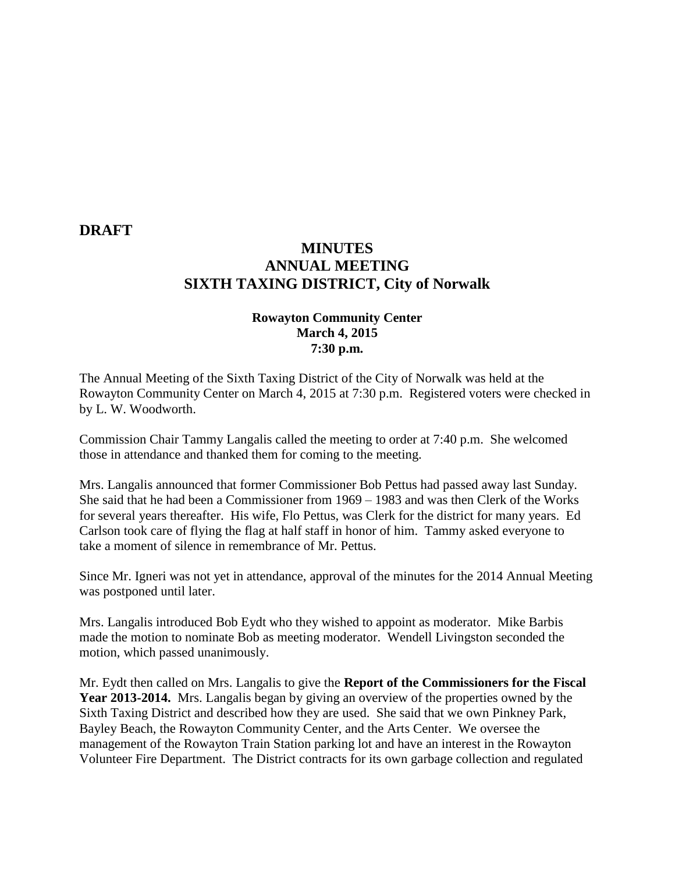#### **DRAFT**

# **MINUTES ANNUAL MEETING SIXTH TAXING DISTRICT, City of Norwalk**

### **Rowayton Community Center March 4, 2015 7:30 p.m.**

The Annual Meeting of the Sixth Taxing District of the City of Norwalk was held at the Rowayton Community Center on March 4, 2015 at 7:30 p.m. Registered voters were checked in by L. W. Woodworth.

Commission Chair Tammy Langalis called the meeting to order at 7:40 p.m. She welcomed those in attendance and thanked them for coming to the meeting.

Mrs. Langalis announced that former Commissioner Bob Pettus had passed away last Sunday. She said that he had been a Commissioner from 1969 – 1983 and was then Clerk of the Works for several years thereafter. His wife, Flo Pettus, was Clerk for the district for many years. Ed Carlson took care of flying the flag at half staff in honor of him. Tammy asked everyone to take a moment of silence in remembrance of Mr. Pettus.

Since Mr. Igneri was not yet in attendance, approval of the minutes for the 2014 Annual Meeting was postponed until later.

Mrs. Langalis introduced Bob Eydt who they wished to appoint as moderator. Mike Barbis made the motion to nominate Bob as meeting moderator. Wendell Livingston seconded the motion, which passed unanimously.

Mr. Eydt then called on Mrs. Langalis to give the **Report of the Commissioners for the Fiscal Year 2013-2014.** Mrs. Langalis began by giving an overview of the properties owned by the Sixth Taxing District and described how they are used. She said that we own Pinkney Park, Bayley Beach, the Rowayton Community Center, and the Arts Center. We oversee the management of the Rowayton Train Station parking lot and have an interest in the Rowayton Volunteer Fire Department. The District contracts for its own garbage collection and regulated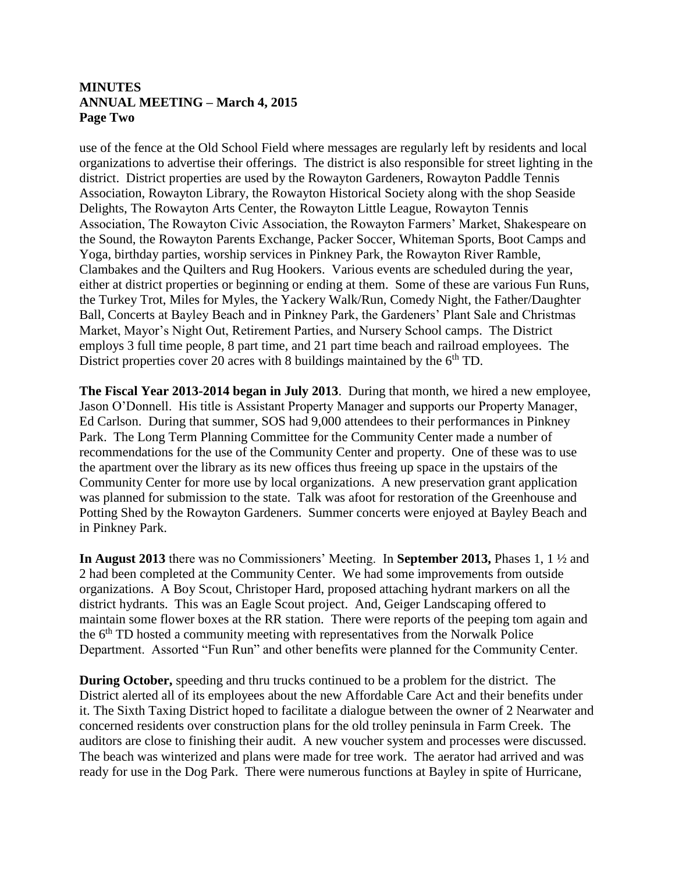### **MINUTES ANNUAL MEETING – March 4, 2015 Page Two**

use of the fence at the Old School Field where messages are regularly left by residents and local organizations to advertise their offerings. The district is also responsible for street lighting in the district. District properties are used by the Rowayton Gardeners, Rowayton Paddle Tennis Association, Rowayton Library, the Rowayton Historical Society along with the shop Seaside Delights, The Rowayton Arts Center, the Rowayton Little League, Rowayton Tennis Association, The Rowayton Civic Association, the Rowayton Farmers' Market, Shakespeare on the Sound, the Rowayton Parents Exchange, Packer Soccer, Whiteman Sports, Boot Camps and Yoga, birthday parties, worship services in Pinkney Park, the Rowayton River Ramble, Clambakes and the Quilters and Rug Hookers. Various events are scheduled during the year, either at district properties or beginning or ending at them. Some of these are various Fun Runs, the Turkey Trot, Miles for Myles, the Yackery Walk/Run, Comedy Night, the Father/Daughter Ball, Concerts at Bayley Beach and in Pinkney Park, the Gardeners' Plant Sale and Christmas Market, Mayor's Night Out, Retirement Parties, and Nursery School camps. The District employs 3 full time people, 8 part time, and 21 part time beach and railroad employees. The District properties cover 20 acres with 8 buildings maintained by the  $6<sup>th</sup>$  TD.

**The Fiscal Year 2013-2014 began in July 2013**. During that month, we hired a new employee, Jason O'Donnell. His title is Assistant Property Manager and supports our Property Manager, Ed Carlson. During that summer, SOS had 9,000 attendees to their performances in Pinkney Park. The Long Term Planning Committee for the Community Center made a number of recommendations for the use of the Community Center and property. One of these was to use the apartment over the library as its new offices thus freeing up space in the upstairs of the Community Center for more use by local organizations. A new preservation grant application was planned for submission to the state. Talk was afoot for restoration of the Greenhouse and Potting Shed by the Rowayton Gardeners. Summer concerts were enjoyed at Bayley Beach and in Pinkney Park.

**In August 2013** there was no Commissioners' Meeting. In **September 2013,** Phases 1, 1 ½ and 2 had been completed at the Community Center. We had some improvements from outside organizations. A Boy Scout, Christoper Hard, proposed attaching hydrant markers on all the district hydrants. This was an Eagle Scout project. And, Geiger Landscaping offered to maintain some flower boxes at the RR station. There were reports of the peeping tom again and the 6<sup>th</sup> TD hosted a community meeting with representatives from the Norwalk Police Department. Assorted "Fun Run" and other benefits were planned for the Community Center.

**During October,** speeding and thru trucks continued to be a problem for the district. The District alerted all of its employees about the new Affordable Care Act and their benefits under it. The Sixth Taxing District hoped to facilitate a dialogue between the owner of 2 Nearwater and concerned residents over construction plans for the old trolley peninsula in Farm Creek. The auditors are close to finishing their audit. A new voucher system and processes were discussed. The beach was winterized and plans were made for tree work. The aerator had arrived and was ready for use in the Dog Park. There were numerous functions at Bayley in spite of Hurricane,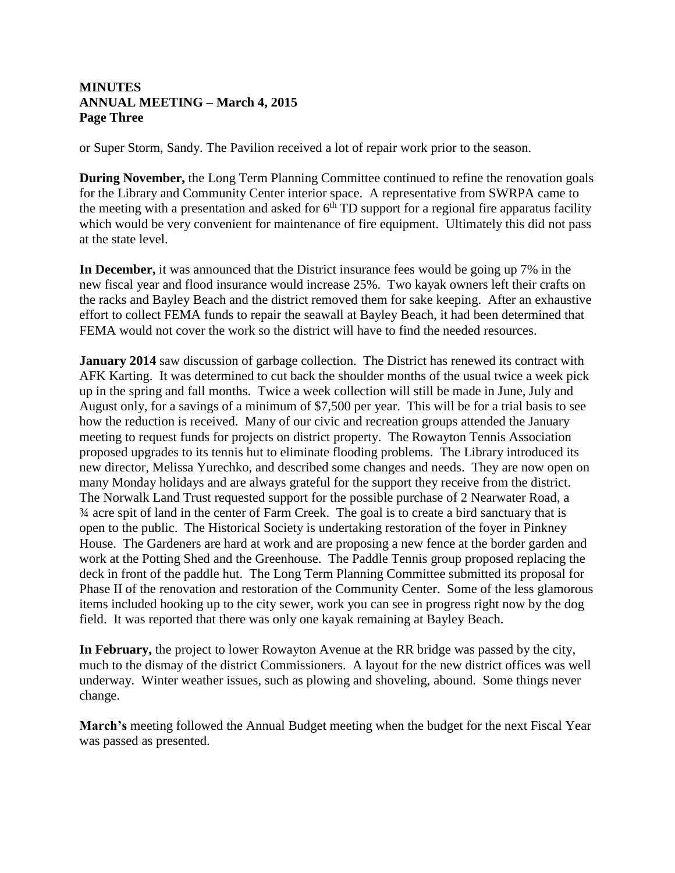## **MINUTES ANNUAL MEETING – March 4, 2015 Page Three**

or Super Storm, Sandy. The Pavilion received a lot of repair work prior to the season.

**During November,** the Long Term Planning Committee continued to refine the renovation goals for the Library and Community Center interior space. A representative from SWRPA came to the meeting with a presentation and asked for  $6<sup>th</sup> TD$  support for a regional fire apparatus facility which would be very convenient for maintenance of fire equipment. Ultimately this did not pass at the state level.

**In December,** it was announced that the District insurance fees would be going up 7% in the new fiscal year and flood insurance would increase 25%. Two kayak owners left their crafts on the racks and Bayley Beach and the district removed them for sake keeping. After an exhaustive effort to collect FEMA funds to repair the seawall at Bayley Beach, it had been determined that FEMA would not cover the work so the district will have to find the needed resources.

**January 2014** saw discussion of garbage collection. The District has renewed its contract with AFK Karting. It was determined to cut back the shoulder months of the usual twice a week pick up in the spring and fall months. Twice a week collection will still be made in June, July and August only, for a savings of a minimum of \$7,500 per year. This will be for a trial basis to see how the reduction is received. Many of our civic and recreation groups attended the January meeting to request funds for projects on district property. The Rowayton Tennis Association proposed upgrades to its tennis hut to eliminate flooding problems. The Library introduced its new director, Melissa Yurechko, and described some changes and needs. They are now open on many Monday holidays and are always grateful for the support they receive from the district. The Norwalk Land Trust requested support for the possible purchase of 2 Nearwater Road, a ¾ acre spit of land in the center of Farm Creek. The goal is to create a bird sanctuary that is open to the public. The Historical Society is undertaking restoration of the foyer in Pinkney House. The Gardeners are hard at work and are proposing a new fence at the border garden and work at the Potting Shed and the Greenhouse. The Paddle Tennis group proposed replacing the deck in front of the paddle hut. The Long Term Planning Committee submitted its proposal for Phase II of the renovation and restoration of the Community Center. Some of the less glamorous items included hooking up to the city sewer, work you can see in progress right now by the dog field. It was reported that there was only one kayak remaining at Bayley Beach.

**In February,** the project to lower Rowayton Avenue at the RR bridge was passed by the city, much to the dismay of the district Commissioners. A layout for the new district offices was well underway. Winter weather issues, such as plowing and shoveling, abound. Some things never change.

**March's** meeting followed the Annual Budget meeting when the budget for the next Fiscal Year was passed as presented.